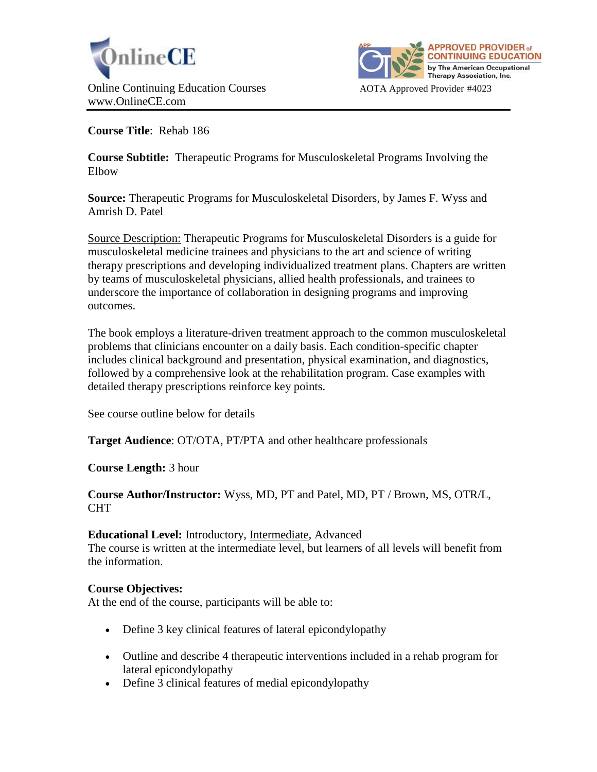



**Course Title**: Rehab 186

**Course Subtitle:** Therapeutic Programs for Musculoskeletal Programs Involving the Elbow

**Source:** Therapeutic Programs for Musculoskeletal Disorders, by James F. Wyss and Amrish D. Patel

Source Description: Therapeutic Programs for Musculoskeletal Disorders is a guide for musculoskeletal medicine trainees and physicians to the art and science of writing therapy prescriptions and developing individualized treatment plans. Chapters are written by teams of musculoskeletal physicians, allied health professionals, and trainees to underscore the importance of collaboration in designing programs and improving outcomes.

The book employs a literature-driven treatment approach to the common musculoskeletal problems that clinicians encounter on a daily basis. Each condition-specific chapter includes clinical background and presentation, physical examination, and diagnostics, followed by a comprehensive look at the rehabilitation program. Case examples with detailed therapy prescriptions reinforce key points.

See course outline below for details

**Target Audience**: OT/OTA, PT/PTA and other healthcare professionals

**Course Length:** 3 hour

## **Course Author/Instructor:** Wyss, MD, PT and Patel, MD, PT / Brown, MS, OTR/L, CHT

# **Educational Level:** Introductory, Intermediate, Advanced

The course is written at the intermediate level, but learners of all levels will benefit from the information.

# **Course Objectives:**

At the end of the course, participants will be able to:

- Define 3 key clinical features of lateral epicondylopathy
- Outline and describe 4 therapeutic interventions included in a rehab program for lateral epicondylopathy
- Define 3 clinical features of medial epicondylopathy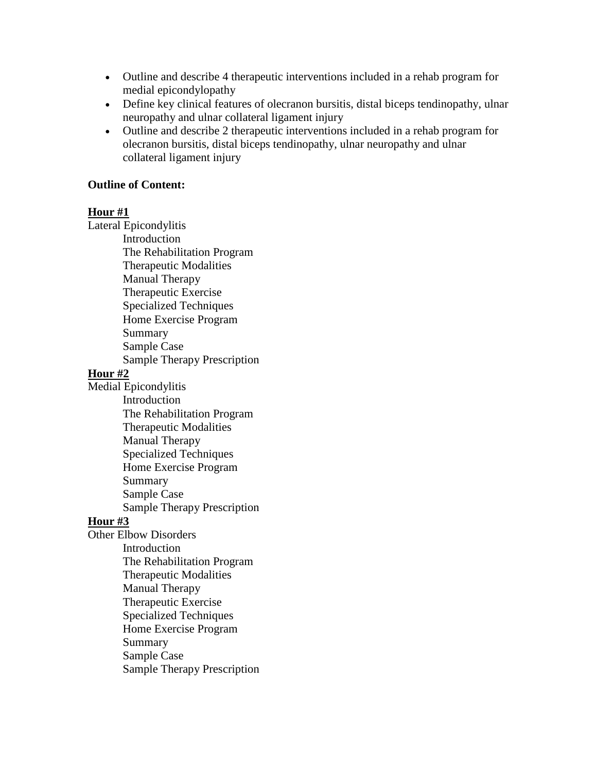- Outline and describe 4 therapeutic interventions included in a rehab program for medial epicondylopathy
- Define key clinical features of olecranon bursitis, distal biceps tendinopathy, ulnar neuropathy and ulnar collateral ligament injury
- Outline and describe 2 therapeutic interventions included in a rehab program for olecranon bursitis, distal biceps tendinopathy, ulnar neuropathy and ulnar collateral ligament injury

## **Outline of Content:**

#### **Hour #1**

Lateral Epicondylitis Introduction The Rehabilitation Program Therapeutic Modalities Manual Therapy Therapeutic Exercise Specialized Techniques Home Exercise Program Summary Sample Case Sample Therapy Prescription **Hour #2** Medial Epicondylitis Introduction The Rehabilitation Program Therapeutic Modalities Manual Therapy Specialized Techniques Home Exercise Program Summary Sample Case Sample Therapy Prescription **Hour #3** Other Elbow Disorders Introduction The Rehabilitation Program Therapeutic Modalities Manual Therapy Therapeutic Exercise Specialized Techniques Home Exercise Program Summary Sample Case Sample Therapy Prescription